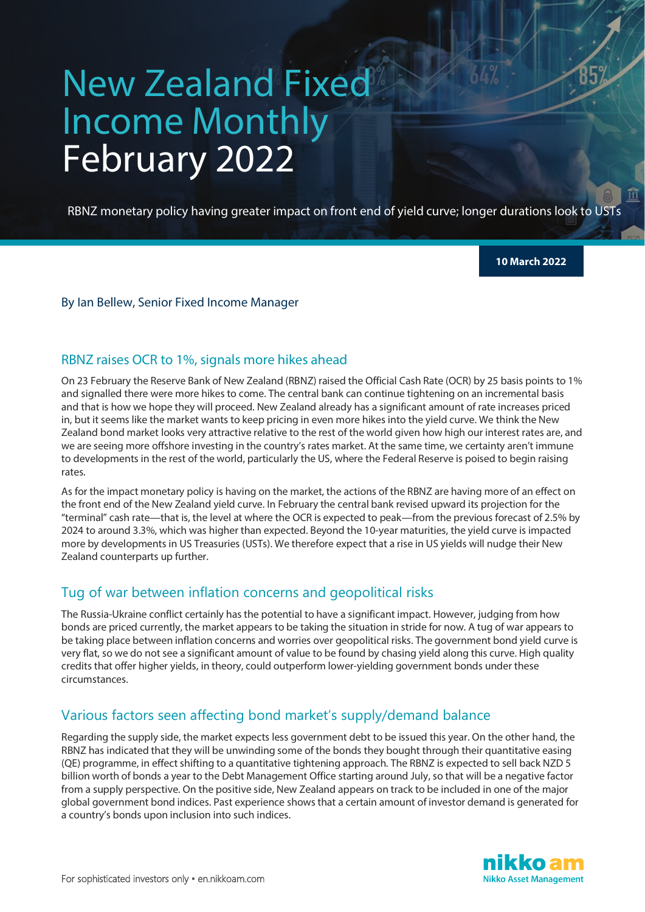# New Zealand Fixed Income Monthly February 2022

RBNZ monetary policy having greater impact on front end of yield curve; longer durations look to USTs

**10 March 2022**

#### By Ian Bellew, Senior Fixed Income Manager

### RBNZ raises OCR to 1%, signals more hikes ahead

On 23 February the Reserve Bank of New Zealand (RBNZ) raised the Official Cash Rate (OCR) by 25 basis points to 1% and signalled there were more hikes to come. The central bank can continue tightening on an incremental basis and that is how we hope they will proceed. New Zealand already has a significant amount of rate increases priced in, but it seems like the market wants to keep pricing in even more hikes into the yield curve. We think the New Zealand bond market looks very attractive relative to the rest of the world given how high our interest rates are, and we are seeing more offshore investing in the country's rates market. At the same time, we certainty aren't immune to developments in the rest of the world, particularly the US, where the Federal Reserve is poised to begin raising rates.

As for the impact monetary policy is having on the market, the actions of the RBNZ are having more of an effect on the front end of the New Zealand yield curve. In February the central bank revised upward its projection for the "terminal" cash rate—that is, the level at where the OCR is expected to peak—from the previous forecast of 2.5% by 2024 to around 3.3%, which was higher than expected. Beyond the 10-year maturities, the yield curve is impacted more by developments in US Treasuries (USTs). We therefore expect that a rise in US yields will nudge their New Zealand counterparts up further.

# Tug of war between inflation concerns and geopolitical risks

The Russia-Ukraine conflict certainly has the potential to have a significant impact. However, judging from how bonds are priced currently, the market appears to be taking the situation in stride for now. A tug of war appears to be taking place between inflation concerns and worries over geopolitical risks. The government bond yield curve is very flat, so we do not see a significant amount of value to be found by chasing yield along this curve. High quality credits that offer higher yields, in theory, could outperform lower-yielding government bonds under these circumstances.

# Various factors seen affecting bond market's supply/demand balance

Regarding the supply side, the market expects less government debt to be issued this year. On the other hand, the RBNZ has indicated that they will be unwinding some of the bonds they bought through their quantitative easing (QE) programme, in effect shifting to a quantitative tightening approach. The RBNZ is expected to sell back NZD 5 billion worth of bonds a year to the Debt Management Office starting around July, so that will be a negative factor from a supply perspective. On the positive side, New Zealand appears on track to be included in one of the major global government bond indices. Past experience shows that a certain amount of investor demand is generated for a country's bonds upon inclusion into such indices.

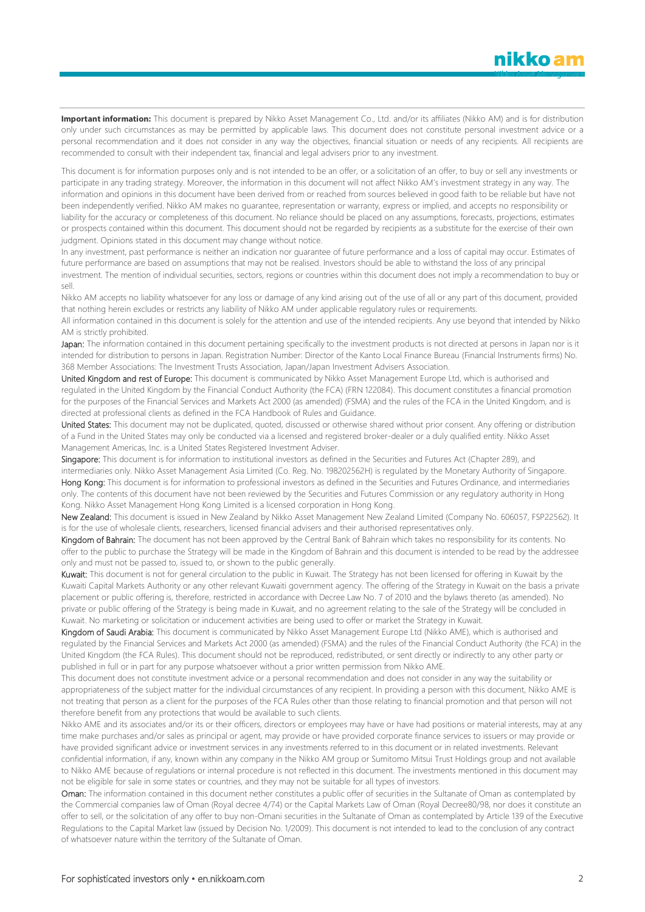**Important information:** This document is prepared by Nikko Asset Management Co., Ltd. and/or its affiliates (Nikko AM) and is for distribution only under such circumstances as may be permitted by applicable laws. This document does not constitute personal investment advice or a personal recommendation and it does not consider in any way the objectives, financial situation or needs of any recipients. All recipients are recommended to consult with their independent tax, financial and legal advisers prior to any investment.

This document is for information purposes only and is not intended to be an offer, or a solicitation of an offer, to buy or sell any investments or participate in any trading strategy. Moreover, the information in this document will not affect Nikko AM's investment strategy in any way. The information and opinions in this document have been derived from or reached from sources believed in good faith to be reliable but have not been independently verified. Nikko AM makes no guarantee, representation or warranty, express or implied, and accepts no responsibility or liability for the accuracy or completeness of this document. No reliance should be placed on any assumptions, forecasts, projections, estimates or prospects contained within this document. This document should not be regarded by recipients as a substitute for the exercise of their own judgment. Opinions stated in this document may change without notice.

In any investment, past performance is neither an indication nor guarantee of future performance and a loss of capital may occur. Estimates of future performance are based on assumptions that may not be realised. Investors should be able to withstand the loss of any principal investment. The mention of individual securities, sectors, regions or countries within this document does not imply a recommendation to buy or sell.

Nikko AM accepts no liability whatsoever for any loss or damage of any kind arising out of the use of all or any part of this document, provided that nothing herein excludes or restricts any liability of Nikko AM under applicable regulatory rules or requirements.

All information contained in this document is solely for the attention and use of the intended recipients. Any use beyond that intended by Nikko AM is strictly prohibited.

Japan: The information contained in this document pertaining specifically to the investment products is not directed at persons in Japan nor is it intended for distribution to persons in Japan. Registration Number: Director of the Kanto Local Finance Bureau (Financial Instruments firms) No. 368 Member Associations: The Investment Trusts Association, Japan/Japan Investment Advisers Association.

United Kingdom and rest of Europe: This document is communicated by Nikko Asset Management Europe Ltd, which is authorised and regulated in the United Kingdom by the Financial Conduct Authority (the FCA) (FRN 122084). This document constitutes a financial promotion for the purposes of the Financial Services and Markets Act 2000 (as amended) (FSMA) and the rules of the FCA in the United Kingdom, and is directed at professional clients as defined in the FCA Handbook of Rules and Guidance.

United States: This document may not be duplicated, quoted, discussed or otherwise shared without prior consent. Any offering or distribution of a Fund in the United States may only be conducted via a licensed and registered broker-dealer or a duly qualified entity. Nikko Asset Management Americas, Inc. is a United States Registered Investment Adviser.

Singapore: This document is for information to institutional investors as defined in the Securities and Futures Act (Chapter 289), and intermediaries only. Nikko Asset Management Asia Limited (Co. Reg. No. 198202562H) is regulated by the Monetary Authority of Singapore. Hong Kong: This document is for information to professional investors as defined in the Securities and Futures Ordinance, and intermediaries only. The contents of this document have not been reviewed by the Securities and Futures Commission or any regulatory authority in Hong Kong. Nikko Asset Management Hong Kong Limited is a licensed corporation in Hong Kong.

New Zealand: This document is issued in New Zealand by Nikko Asset Management New Zealand Limited (Company No. 606057, FSP22562). It is for the use of wholesale clients, researchers, licensed financial advisers and their authorised representatives only.

Kingdom of Bahrain: The document has not been approved by the Central Bank of Bahrain which takes no responsibility for its contents. No offer to the public to purchase the Strategy will be made in the Kingdom of Bahrain and this document is intended to be read by the addressee only and must not be passed to, issued to, or shown to the public generally.

Kuwait: This document is not for general circulation to the public in Kuwait. The Strategy has not been licensed for offering in Kuwait by the Kuwaiti Capital Markets Authority or any other relevant Kuwaiti government agency. The offering of the Strategy in Kuwait on the basis a private placement or public offering is, therefore, restricted in accordance with Decree Law No. 7 of 2010 and the bylaws thereto (as amended). No private or public offering of the Strategy is being made in Kuwait, and no agreement relating to the sale of the Strategy will be concluded in Kuwait. No marketing or solicitation or inducement activities are being used to offer or market the Strategy in Kuwait.

Kingdom of Saudi Arabia: This document is communicated by Nikko Asset Management Europe Ltd (Nikko AME), which is authorised and regulated by the Financial Services and Markets Act 2000 (as amended) (FSMA) and the rules of the Financial Conduct Authority (the FCA) in the United Kingdom (the FCA Rules). This document should not be reproduced, redistributed, or sent directly or indirectly to any other party or published in full or in part for any purpose whatsoever without a prior written permission from Nikko AME.

This document does not constitute investment advice or a personal recommendation and does not consider in any way the suitability or appropriateness of the subject matter for the individual circumstances of any recipient. In providing a person with this document, Nikko AME is not treating that person as a client for the purposes of the FCA Rules other than those relating to financial promotion and that person will not therefore benefit from any protections that would be available to such clients.

Nikko AME and its associates and/or its or their officers, directors or employees may have or have had positions or material interests, may at any time make purchases and/or sales as principal or agent, may provide or have provided corporate finance services to issuers or may provide or have provided significant advice or investment services in any investments referred to in this document or in related investments. Relevant confidential information, if any, known within any company in the Nikko AM group or Sumitomo Mitsui Trust Holdings group and not available to Nikko AME because of regulations or internal procedure is not reflected in this document. The investments mentioned in this document may not be eligible for sale in some states or countries, and they may not be suitable for all types of investors.

Oman: The information contained in this document nether constitutes a public offer of securities in the Sultanate of Oman as contemplated by the Commercial companies law of Oman (Royal decree 4/74) or the Capital Markets Law of Oman (Royal Decree80/98, nor does it constitute an offer to sell, or the solicitation of any offer to buy non-Omani securities in the Sultanate of Oman as contemplated by Article 139 of the Executive Regulations to the Capital Market law (issued by Decision No. 1/2009). This document is not intended to lead to the conclusion of any contract of whatsoever nature within the territory of the Sultanate of Oman.